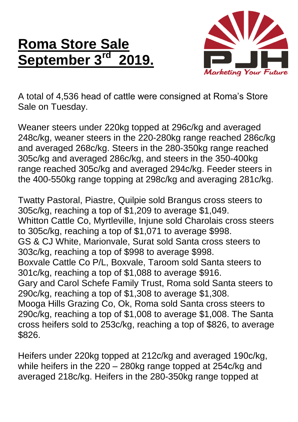## **Roma Store Sale September 3rd 2019.**



A total of 4,536 head of cattle were consigned at Roma's Store Sale on Tuesday.

Weaner steers under 220kg topped at 296c/kg and averaged 248c/kg, weaner steers in the 220-280kg range reached 286c/kg and averaged 268c/kg. Steers in the 280-350kg range reached 305c/kg and averaged 286c/kg, and steers in the 350-400kg range reached 305c/kg and averaged 294c/kg. Feeder steers in the 400-550kg range topping at 298c/kg and averaging 281c/kg.

Twatty Pastoral, Piastre, Quilpie sold Brangus cross steers to 305c/kg, reaching a top of \$1,209 to average \$1,049. Whitton Cattle Co, Myrtleville, Injune sold Charolais cross steers to 305c/kg, reaching a top of \$1,071 to average \$998. GS & CJ White, Marionvale, Surat sold Santa cross steers to 303c/kg, reaching a top of \$998 to average \$998. Boxvale Cattle Co P/L, Boxvale, Taroom sold Santa steers to 301c/kg, reaching a top of \$1,088 to average \$916. Gary and Carol Schefe Family Trust, Roma sold Santa steers to 290c/kg, reaching a top of \$1,308 to average \$1,308. Mooga Hills Grazing Co, Ok, Roma sold Santa cross steers to 290c/kg, reaching a top of \$1,008 to average \$1,008. The Santa cross heifers sold to 253c/kg, reaching a top of \$826, to average \$826.

Heifers under 220kg topped at 212c/kg and averaged 190c/kg, while heifers in the 220 – 280kg range topped at 254c/kg and averaged 218c/kg. Heifers in the 280-350kg range topped at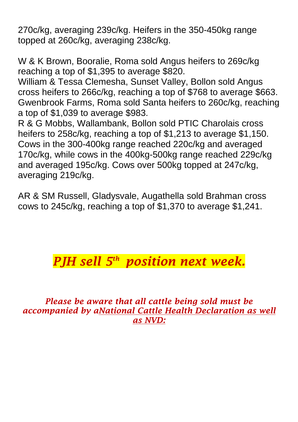270c/kg, averaging 239c/kg. Heifers in the 350-450kg range topped at 260c/kg, averaging 238c/kg.

W & K Brown, Booralie, Roma sold Angus heifers to 269c/kg reaching a top of \$1,395 to average \$820.

William & Tessa Clemesha, Sunset Valley, Bollon sold Angus cross heifers to 266c/kg, reaching a top of \$768 to average \$663. Gwenbrook Farms, Roma sold Santa heifers to 260c/kg, reaching a top of \$1,039 to average \$983.

R & G Mobbs, Wallambank, Bollon sold PTIC Charolais cross heifers to 258c/kg, reaching a top of \$1,213 to average \$1,150. Cows in the 300-400kg range reached 220c/kg and averaged 170c/kg, while cows in the 400kg-500kg range reached 229c/kg and averaged 195c/kg. Cows over 500kg topped at 247c/kg, averaging 219c/kg.

AR & SM Russell, Gladysvale, Augathella sold Brahman cross cows to 245c/kg, reaching a top of \$1,370 to average \$1,241.

## *PJH sell 5 th position next week.*

*Please be aware that all cattle being sold must be accompanied by aNational Cattle Health Declaration as well as NVD:*